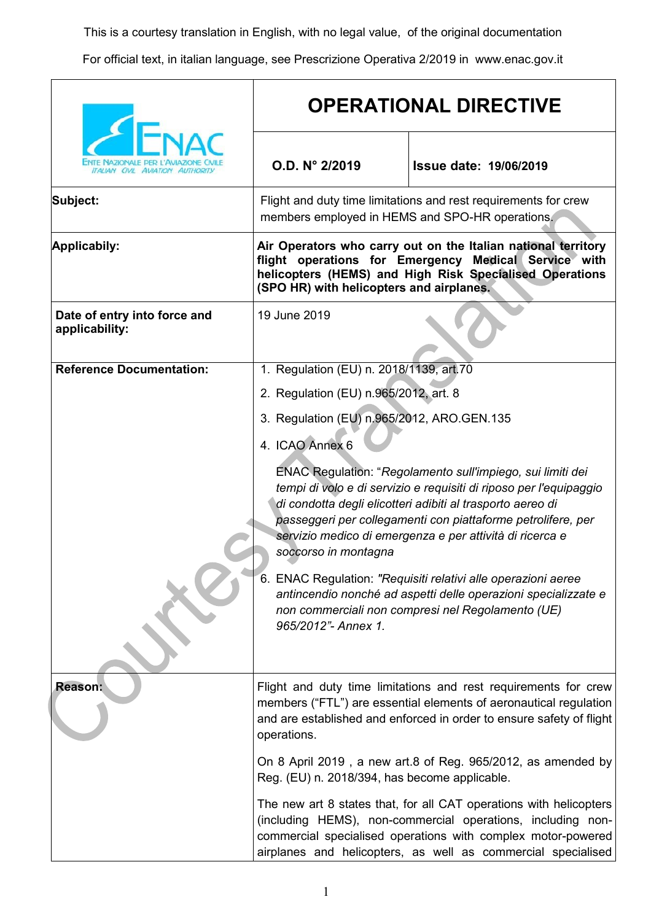This is a courtesy translation in English, with no legal value, of the original documentation

For official text, in italian language, see Prescrizione Operativa 2/2019 in www.enac.gov.it

|                                                | <b>OPERATIONAL DIRECTIVE</b>                                                                                                                                                                                                 |                                                                                                                                                                                                                                                                                                                                                                                                                                                                                                                    |
|------------------------------------------------|------------------------------------------------------------------------------------------------------------------------------------------------------------------------------------------------------------------------------|--------------------------------------------------------------------------------------------------------------------------------------------------------------------------------------------------------------------------------------------------------------------------------------------------------------------------------------------------------------------------------------------------------------------------------------------------------------------------------------------------------------------|
| <b>ITALIAN CIVIL AVIATION</b>                  | O.D. N° 2/2019                                                                                                                                                                                                               | <b>Issue date: 19/06/2019</b>                                                                                                                                                                                                                                                                                                                                                                                                                                                                                      |
| Subject:                                       | members employed in HEMS and SPO-HR operations.                                                                                                                                                                              | Flight and duty time limitations and rest requirements for crew                                                                                                                                                                                                                                                                                                                                                                                                                                                    |
| Applicabily:                                   | Air Operators who carry out on the Italian national territory<br>flight operations for Emergency Medical Service with<br>helicopters (HEMS) and High Risk Specialised Operations<br>(SPO HR) with helicopters and airplanes. |                                                                                                                                                                                                                                                                                                                                                                                                                                                                                                                    |
| Date of entry into force and<br>applicability: | 19 June 2019                                                                                                                                                                                                                 |                                                                                                                                                                                                                                                                                                                                                                                                                                                                                                                    |
| <b>Reference Documentation:</b>                | 1. Regulation (EU) n. 2018/1139, art.70                                                                                                                                                                                      |                                                                                                                                                                                                                                                                                                                                                                                                                                                                                                                    |
|                                                | 2. Regulation (EU) n.965/2012, art. 8                                                                                                                                                                                        |                                                                                                                                                                                                                                                                                                                                                                                                                                                                                                                    |
|                                                | 3. Regulation (EU) n.965/2012, ARO.GEN.135                                                                                                                                                                                   |                                                                                                                                                                                                                                                                                                                                                                                                                                                                                                                    |
|                                                | 4. ICAO Annex 6<br>soccorso in montagna<br>965/2012"- Annex 1.                                                                                                                                                               | ENAC Regulation: "Regolamento sull'impiego, sui limiti dei<br>tempi di volo e di servizio e requisiti di riposo per l'equipaggio<br>di condotta degli elicotteri adibiti al trasporto aereo di<br>passeggeri per collegamenti con piattaforme petrolifere, per<br>servizio medico di emergenza e per attività di ricerca e<br>6. ENAC Regulation: "Requisiti relativi alle operazioni aeree<br>antincendio nonché ad aspetti delle operazioni specializzate e<br>non commerciali non compresi nel Regolamento (UE) |
| <b>Reason:</b>                                 | Flight and duty time limitations and rest requirements for crew<br>members ("FTL") are essential elements of aeronautical regulation<br>and are established and enforced in order to ensure safety of flight<br>operations.  |                                                                                                                                                                                                                                                                                                                                                                                                                                                                                                                    |
|                                                | On 8 April 2019, a new art.8 of Reg. 965/2012, as amended by<br>Reg. (EU) n. 2018/394, has become applicable.                                                                                                                |                                                                                                                                                                                                                                                                                                                                                                                                                                                                                                                    |
|                                                |                                                                                                                                                                                                                              | The new art 8 states that, for all CAT operations with helicopters<br>(including HEMS), non-commercial operations, including non-<br>commercial specialised operations with complex motor-powered<br>airplanes and helicopters, as well as commercial specialised                                                                                                                                                                                                                                                  |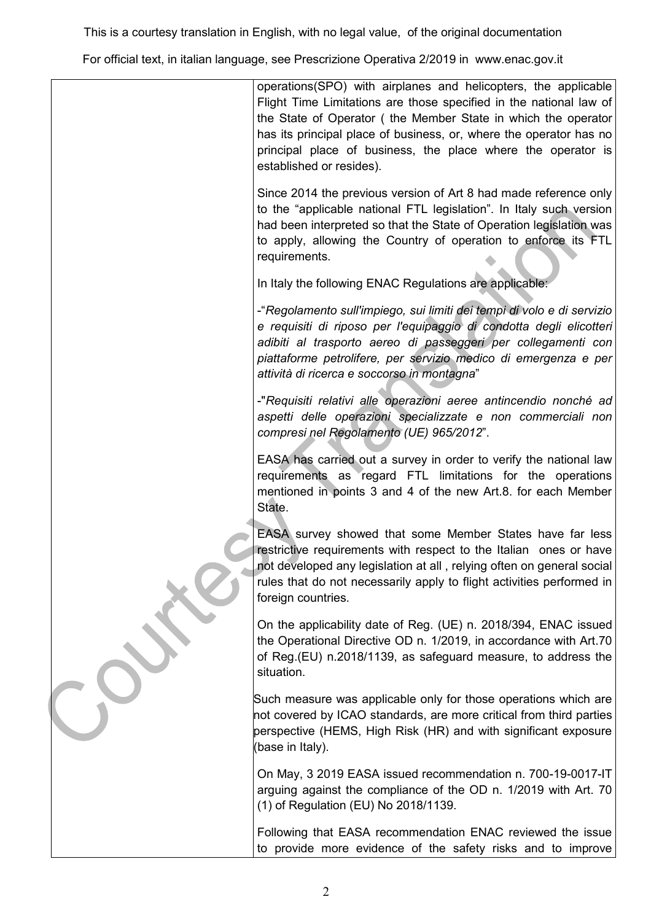This is a courtesy translation in English, with no legal value, of the original documentation

For official text, in italian language, see Prescrizione Operativa 2/2019 in www.enac.gov.it

|  | operations(SPO) with airplanes and helicopters, the applicable<br>Flight Time Limitations are those specified in the national law of<br>the State of Operator (the Member State in which the operator<br>has its principal place of business, or, where the operator has no<br>principal place of business, the place where the operator is<br>established or resides). |
|--|-------------------------------------------------------------------------------------------------------------------------------------------------------------------------------------------------------------------------------------------------------------------------------------------------------------------------------------------------------------------------|
|  | Since 2014 the previous version of Art 8 had made reference only<br>to the "applicable national FTL legislation". In Italy such version<br>had been interpreted so that the State of Operation legislation was<br>to apply, allowing the Country of operation to enforce its FTL<br>requirements.                                                                       |
|  | In Italy the following ENAC Regulations are applicable:                                                                                                                                                                                                                                                                                                                 |
|  | -"Regolamento sull'impiego, sui limiti dei tempi di volo e di servizio<br>e requisiti di riposo per l'equipaggio di condotta degli elicotteri<br>adibiti al trasporto aereo di passeggeri per collegamenti con<br>piattaforme petrolifere, per servizio medico di emergenza e per<br>attività di ricerca e soccorso in montagna"                                        |
|  | -"Requisiti relativi alle operazioni aeree antincendio nonché ad<br>aspetti delle operazioni specializzate e non commerciali non<br>compresi nel Regolamento (UE) 965/2012".                                                                                                                                                                                            |
|  | EASA has carried out a survey in order to verify the national law<br>requirements as regard FTL limitations for the operations<br>mentioned in points 3 and 4 of the new Art.8. for each Member<br>State.                                                                                                                                                               |
|  | EASA survey showed that some Member States have far less<br>restrictive requirements with respect to the Italian ones or have<br>not developed any legislation at all, relying often on general social<br>rules that do not necessarily apply to flight activities performed in<br>foreign countries.                                                                   |
|  | On the applicability date of Reg. (UE) n. 2018/394, ENAC issued<br>the Operational Directive OD n. 1/2019, in accordance with Art.70<br>of Reg. (EU) n.2018/1139, as safeguard measure, to address the<br>situation.                                                                                                                                                    |
|  | Such measure was applicable only for those operations which are<br>not covered by ICAO standards, are more critical from third parties<br>perspective (HEMS, High Risk (HR) and with significant exposure<br>(base in Italy).                                                                                                                                           |
|  | On May, 3 2019 EASA issued recommendation n. 700-19-0017-IT<br>arguing against the compliance of the OD n. 1/2019 with Art. 70<br>(1) of Regulation (EU) No 2018/1139.                                                                                                                                                                                                  |
|  | Following that EASA recommendation ENAC reviewed the issue<br>to provide more evidence of the safety risks and to improve                                                                                                                                                                                                                                               |